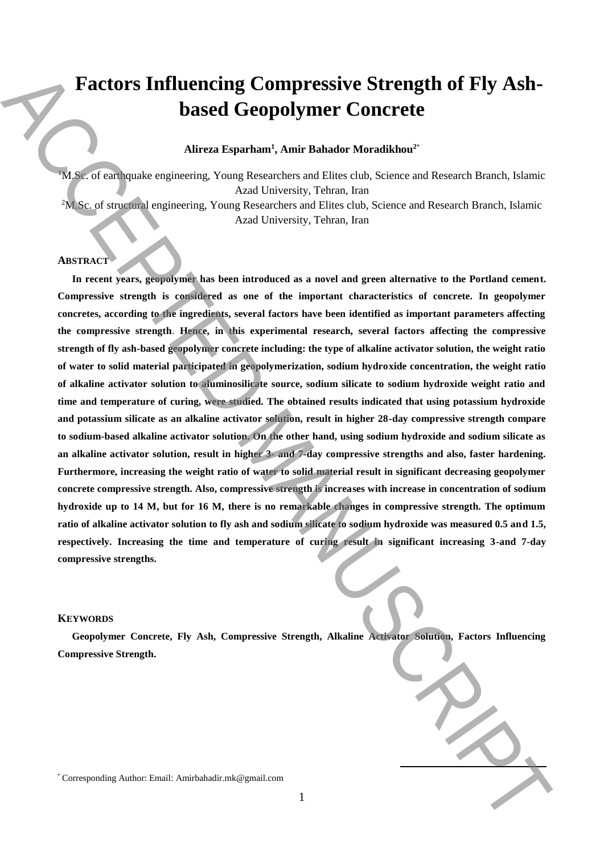# **Factors Influencing Compressive Strength of Fly Ashbased Geopolymer Concrete**

## **Alireza Esparham<sup>1</sup> , Amir Bahador Moradikhou<sup>2</sup>**\*

<sup>1</sup>M.Sc. of earthquake engineering, Young Researchers and Elites club, Science and Research Branch, Islamic Azad University, Tehran, Iran <sup>2</sup>M.Sc. of structural engineering, Young Researchers and Elites club, Science and Research Branch, Islamic Azad University, Tehran, Iran

#### **ABSTRACT**

**In recent years, geopolymer has been introduced as a novel and green alternative to the Portland cement. Compressive strength is considered as one of the important characteristics of concrete. In geopolymer concretes, according to the ingredients, several factors have been identified as important parameters affecting the compressive strength**. **Hence, in this experimental research, several factors affecting the compressive strength of fly ash-based geopolymer concrete including: the type of alkaline activator solution, the weight ratio of water to solid material participated in geopolymerization, sodium hydroxide concentration, the weight ratio of alkaline activator solution to aluminosilicate source, sodium silicate to sodium hydroxide weight ratio and time and temperature of curing, were studied. The obtained results indicated that using potassium hydroxide and potassium silicate as an alkaline activator solution, result in higher 28-day compressive strength compare to sodium-based alkaline activator solution. On the other hand, using sodium hydroxide and sodium silicate as an alkaline activator solution, result in higher 3- and 7-day compressive strengths and also, faster hardening. Furthermore, increasing the weight ratio of water to solid material result in significant decreasing geopolymer concrete compressive strength. Also, compressive strength is increases with increase in concentration of sodium hydroxide up to 14 M, but for 16 M, there is no remarkable changes in compressive strength. The optimum ratio of alkaline activator solution to fly ash and sodium silicate to sodium hydroxide was measured 0.5 and 1.5, respectively. Increasing the time and temperature of curing result in significant increasing 3-and 7-day compressive strengths. Exactors Influencing Compressive Strength of Fly Ash-based Geopolymer Concrete<br>
Altern Espainant, Amir Babador Moralibhor: 2013<br>
Author: Email: You can be a smooth as a line of the Source and Research Branch Line (1997).** 

### **KEYWORDS**

**Geopolymer Concrete, Fly Ash, Compressive Strength, Alkaline Activator Solution, Factors Influencing Compressive Strength.** 

**.**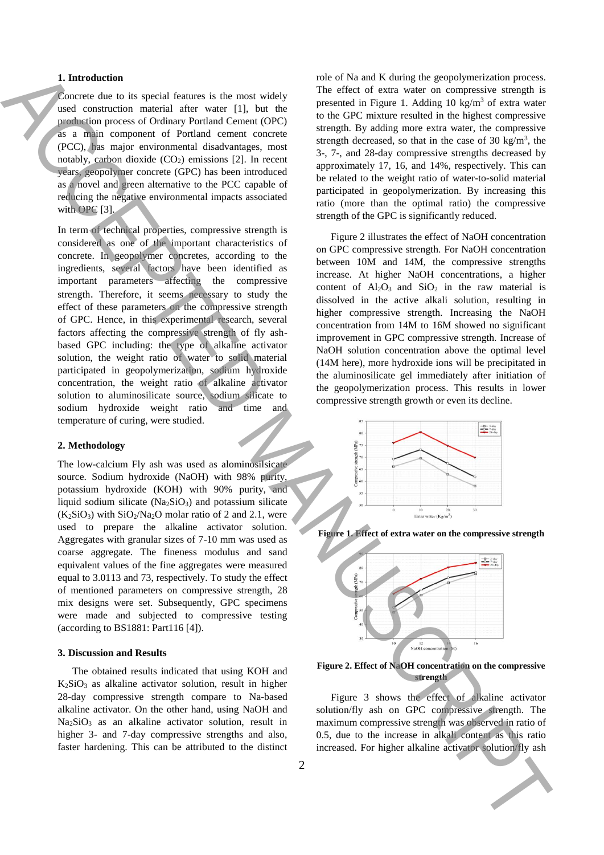## **1. Introduction**

Concrete due to its special features is the most widely used construction material after water [1], but the production process of Ordinary Portland Cement (OPC) as a main component of Portland cement concrete (PCC), has major environmental disadvantages, most notably, carbon dioxide  $(CO<sub>2</sub>)$  emissions [2]. In recent years, geopolymer concrete (GPC) has been introduced as a novel and green alternative to the PCC capable of reducing the negative environmental impacts associated with OPC [3].

In term of technical properties, compressive strength is considered as one of the important characteristics of concrete. In geopolymer concretes, according to the ingredients, several factors have been identified as important parameters affecting the compressive strength. Therefore, it seems necessary to study the effect of these parameters on the compressive strength of GPC. Hence, in this experimental research, several factors affecting the compressive strength of fly ashbased GPC including: the type of alkaline activator solution, the weight ratio of water to solid material participated in geopolymerization, sodium hydroxide concentration, the weight ratio of alkaline activator solution to aluminosilicate source, sodium silicate to sodium hydroxide weight ratio and time and temperature of curing, were studied. Interest of the time in the main of the solution of the solution of the solution of the solution activation of the solution of the solution of the solution of the solution of the solution of the solution of the solution o

## **2. Methodology**

The low-calcium Fly ash was used as alominosilsicate source. Sodium hydroxide (NaOH) with 98% purity, potassium hydroxide (KOH) with 90% purity, and liquid sodium silicate  $(Na_2SiO_3)$  and potassium silicate  $(K_2SiO_3)$  with  $SiO_2/Na_2O$  molar ratio of 2 and 2.1, were used to prepare the alkaline activator solution. Aggregates with granular sizes of 7-10 mm was used as coarse aggregate. The fineness modulus and sand equivalent values of the fine aggregates were measured equal to 3.0113 and 73, respectively. To study the effect of mentioned parameters on compressive strength, 28 mix designs were set. Subsequently, GPC specimens were made and subjected to compressive testing (according to BS1881: Part116 [4]).

### **3. Discussion and Results**

The obtained results indicated that using KOH and  $K_2SiO_3$  as alkaline activator solution, result in higher 28-day compressive strength compare to Na-based alkaline activator. On the other hand, using NaOH and  $Na<sub>2</sub>SiO<sub>3</sub>$  as an alkaline activator solution, result in higher 3- and 7-day compressive strengths and also, faster hardening. This can be attributed to the distinct

role of Na and K during the geopolymerization process. The effect of extra water on compressive strength is presented in Figure 1. Adding 10 kg/m<sup>3</sup> of extra water to the GPC mixture resulted in the highest compressive strength. By adding more extra water, the compressive strength decreased, so that in the case of 30 kg/m<sup>3</sup>, the 3-, 7-, and 28-day compressive strengths decreased by approximately 17, 16, and 14%, respectively. This can be related to the weight ratio of water-to-solid material participated in geopolymerization. By increasing this ratio (more than the optimal ratio) the compressive strength of the GPC is significantly reduced.

Figure 2 illustrates the effect of NaOH concentration on GPC compressive strength. For NaOH concentration between 10M and 14M, the compressive strengths increase. At higher NaOH concentrations, a higher content of  $Al_2O_3$  and  $SiO_2$  in the raw material is dissolved in the active alkali solution, resulting in higher compressive strength. Increasing the NaOH concentration from 14M to 16M showed no significant improvement in GPC compressive strength. Increase of NaOH solution concentration above the optimal level (14M here), more hydroxide ions will be precipitated in the aluminosilicate gel immediately after initiation of the geopolymerization process. This results in lower compressive strength growth or even its decline.



**Figure 1. Effect of extra water on the compressive strength**



**Figure 2. Effect of NaOH concentration on the compressive strength**

Figure 3 shows the effect of alkaline activator solution/fly ash on GPC compressive strength. The maximum compressive strength was observed in ratio of 0.5, due to the increase in alkali content as this ratio